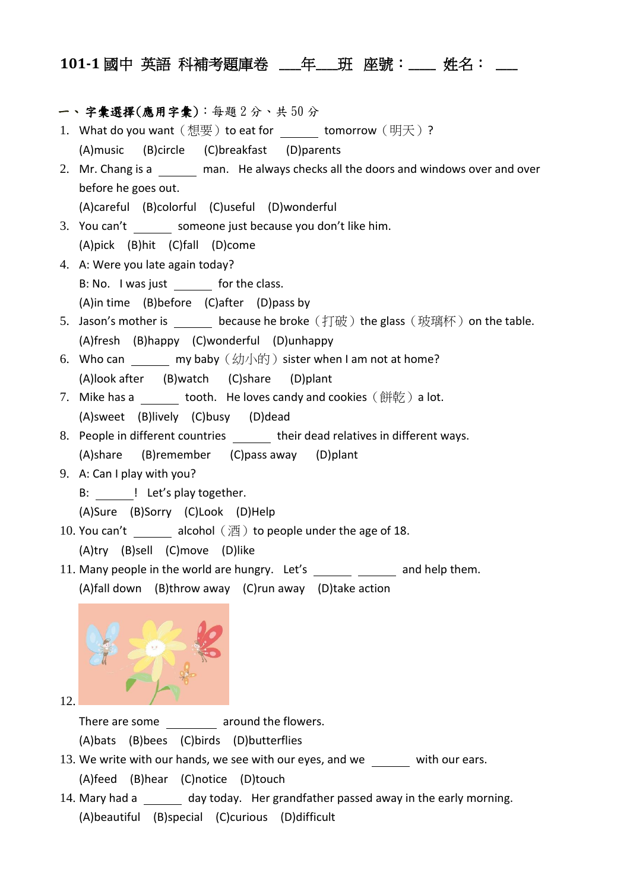## **101-1** 國中 英語 科補考題庫卷 **\_\_\_\_**年**\_\_\_\_**班 座號:**\_\_\_\_\_** 姓名: **\_\_\_\_**

## 一、 字彙選擇(應用字彙):每題 2 分、共 50 分

- 1. What do you want  $($  想要  $)$  to eat for  $\_\_\_\_\_\$  tomorrow  $($  明天 $)$  ? (A)music (B)circle (C)breakfast (D)parents
- 2. Mr. Chang is a man. He always checks all the doors and windows over and over before he goes out.

(A)careful (B)colorful (C)useful (D)wonderful

- 3. You can't someone just because you don't like him. (A)pick (B)hit (C)fall (D)come
- 4. A: Were you late again today? B: No. I was just for the class. (A)in time (B)before (C)after (D)pass by
- 5. Jason's mother is because he broke (打破) the glass (玻璃杯) on the table. (A)fresh (B)happy (C)wonderful (D)unhappy
- 6. Who can my baby  $(\#/\hbox{th})$  sister when I am not at home? (A)look after (B)watch (C)share (D)plant
- 7. Mike has a stooth. He loves candy and cookies  $($ 餅乾) a lot. (A)sweet (B)lively (C)busy (D)dead
- 8. People in different countries their dead relatives in different ways. (A)share (B)remember (C)pass away (D)plant
- 9. A: Can I play with you?
	- B: ! Let's play together.

(A)Sure (B)Sorry (C)Look (D)Help

- 10. You can't alcohol  $(\overline{\mathbb{A}})$  to people under the age of 18. (A)try (B)sell (C)move (D)like
- 11. Many people in the world are hungry. Let's  $\frac{1}{\sqrt{1-\frac{1}{n}}}$  and help them.
	- (A)fall down (B)throw away (C)run away (D)take action



12.

There are some **around the flowers**.

(A)bats (B)bees (C)birds (D)butterflies

- 13. We write with our hands, we see with our eyes, and we with our ears. (A)feed (B)hear (C)notice (D)touch
- 14. Mary had a day today. Her grandfather passed away in the early morning. (A)beautiful (B)special (C)curious (D)difficult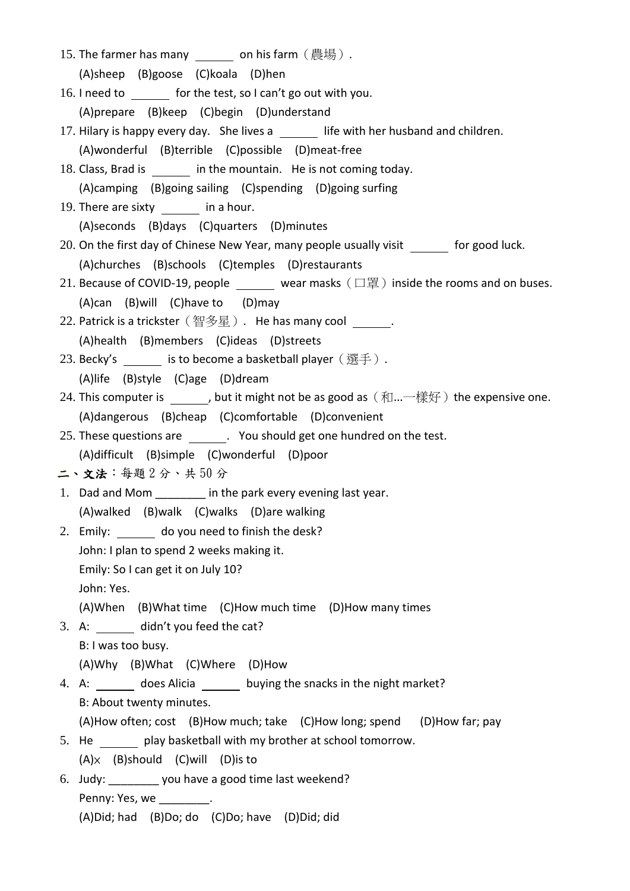- 15. The farmer has many on his farm  $($  農場).
	- (A)sheep (B)goose (C)koala (D)hen
- 16. I need to for the test, so I can't go out with you. (A)prepare (B)keep (C)begin (D)understand
- 17. Hilary is happy every day. She lives a life with her husband and children. (A)wonderful (B)terrible (C)possible (D)meat-free
- 18. Class, Brad is in the mountain. He is not coming today. (A)camping (B)going sailing (C)spending (D)going surfing
- 19. There are sixty \_\_\_\_\_\_\_ in a hour. (A)seconds (B)days (C)quarters (D)minutes
- 20. On the first day of Chinese New Year, many people usually visit for good luck. (A)churches (B)schools (C)temples (D)restaurants
- 21. Because of COVID-19, people wear masks  $(\Box \mathbb{E})$  inside the rooms and on buses. (A)can (B)will (C)have to (D)may
- 22. Patrick is a trickster (智多星). He has many cool  $\qquad \qquad$ . (A)health (B)members (C)ideas (D)streets
- 23. Becky's is to become a basketball player (選手). (A)life (B)style (C)age (D)dream
- 24. This computer is  $\qquad \qquad$ , but it might not be as good as  $(\text{m}...\text{m}$ (A)dangerous (B)cheap (C)comfortable (D)convenient
- 25. These questions are **.** You should get one hundred on the test. (A)difficult (B)simple (C)wonderful (D)poor

二、文法:每題2分、共50分

- 1. Dad and Mom **in the park every evening last year.** (A)walked (B)walk (C)walks (D)are walking
- 2. Emily: do you need to finish the desk?

John: I plan to spend 2 weeks making it.

Emily: So I can get it on July 10?

John: Yes.

(A)When (B)What time (C)How much time (D)How many times

3. A: didn't you feed the cat?

B: I was too busy.

(A)Why (B)What (C)Where (D)How

- 4. A: does Alicia buying the snacks in the night market? B: About twenty minutes. (A)How often; cost (B)How much; take (C)How long; spend (D)How far; pay
- 5. He play basketball with my brother at school tomorrow.  $(A) \times$  (B)should (C)will (D) is to
- 6. Judy: \_\_\_\_\_\_\_\_ you have a good time last weekend?

Penny: Yes, we also have the set of the set of the set of the set of the set of the set of the set of the set o

(A)Did; had (B)Do; do (C)Do; have (D)Did; did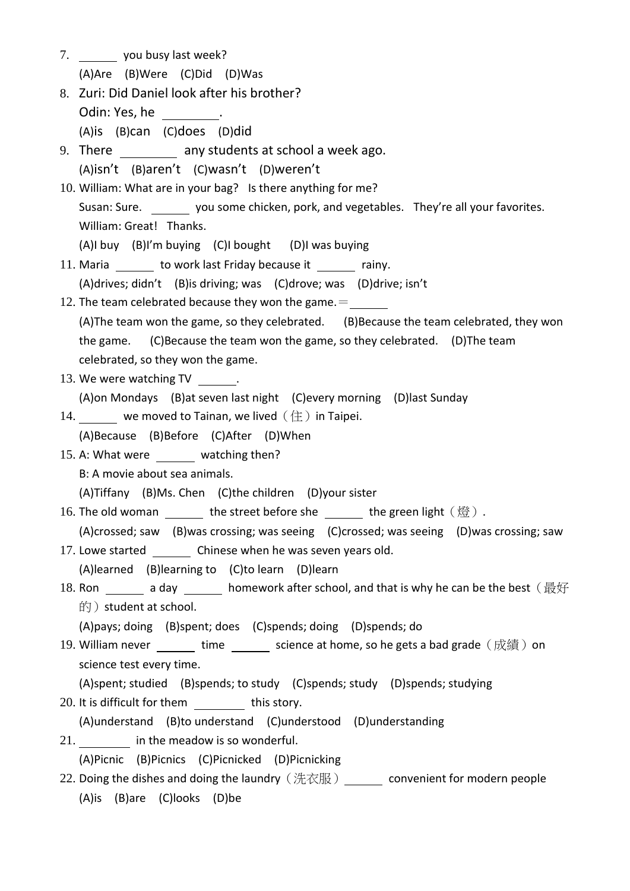7. you busy last week?

(A)Are (B)Were (C)Did (D)Was

- 8. Zuri: Did Daniel look after his brother? Odin: Yes, he . (A)is (B)can (C)does (D)did
- 9. There **any students at school a week ago.**
- (A)isn't (B)aren't (C)wasn't (D)weren't
- 10. William: What are in your bag? Is there anything for me? Susan: Sure. you some chicken, pork, and vegetables. They're all your favorites. William: Great! Thanks.
	- (A)I buy (B)I'm buying (C)I bought (D)I was buying
- 11. Maria \_\_\_\_\_\_ to work last Friday because it \_\_\_\_\_\_ rainy. (A)drives; didn't (B)is driving; was (C)drove; was (D)drive; isn't
- 12. The team celebrated because they won the game. $=$ (A)The team won the game, so they celebrated. (B)Because the team celebrated, they won the game. (C)Because the team won the game, so they celebrated. (D)The team celebrated, so they won the game.
- 13. We were watching TV .

(A)on Mondays (B)at seven last night (C)every morning (D)last Sunday

14.  $\Box$  we moved to Tainan, we lived  $(\pm)$  in Taipei.

(A)Because (B)Before (C)After (D)When

- 15. A: What were watching then?
	- B: A movie about sea animals.

(A)Tiffany (B)Ms. Chen (C)the children (D)your sister

- 16. The old woman the street before she the green light  $($  燈) .
- (A)crossed; saw (B)was crossing; was seeing (C)crossed; was seeing (D)was crossing; saw
- 17. Lowe started Chinese when he was seven years old.
	- (A)learned (B)learning to (C)to learn (D)learn
- 18. Ron \_\_\_\_\_\_ a day \_\_\_\_\_\_ homework after school, and that is why he can be the best ( 最好 的) student at school.

(A)pays; doing (B)spent; does (C)spends; doing (D)spends; do

- 19. William never time science at home, so he gets a bad grade (成績) on science test every time.
	- (A)spent; studied (B)spends; to study (C)spends; study (D)spends; studying
- 20. It is difficult for them this story.
- (A)understand (B)to understand (C)understood (D)understanding
- 21. in the meadow is so wonderful.

(A)Picnic (B)Picnics (C)Picnicked (D)Picnicking

22. Doing the dishes and doing the laundry (洗衣服) \_\_\_\_\_\_ convenient for modern people (A)is (B)are (C)looks (D)be